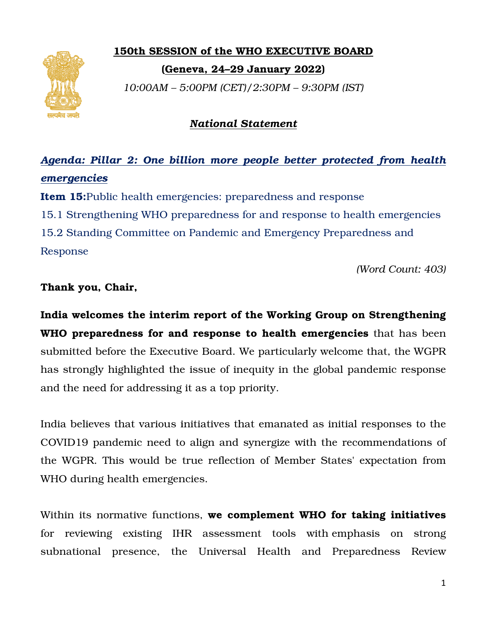

## 150th SESSION of the WHO EXECUTIVE BOARD

(Geneva, 24 Geneva, 24–29 January 2022)

*10:00AM – 5:00PM (CET)/2:30PM – 9:30PM (IST)*

# *National Statement*

# *Agenda: Pillar 2: One billion more people better protected from health billion people protected emergencies*

Item 15:Public health emergencies: preparedness and response

Item 15:Public health emergencies: preparedness and response<br>15.1 Strengthening WHO preparedness for and response to health emergencies

15.2 Standing Committee on Pandemic and Emergency Preparedness and Response

*(Word Count: Count: 403)* 

### Thank you, Chair,

India welcomes the interim report of the Working Group on Strengthening India welcomes the interim report of the Working Group on Strengthening<br>WHO preparedness for and response to health emergencies that has been submitted before the Executive Board. We particularly welcome that, the WGPR submitted before the Executive Board. We particularly welcome that, the WGPR<br>has strongly highlighted the issue of inequity in the global pandemic response and the need for addressing it as a top priority.

India believes that various initiatives that emanated as initial responses to the COVID19 pandemic need to align and synergize with the recommendations of the WGPR. This would be true reflection of Member States' expectation from WHO during health emergencies. ed for addressing it as a top priority.<br>
ves that various initiatives that emanated as initial responses to the<br>
pandemic need to align and synergize with the recommendations of<br>
This would be true reflection of Member Sta ighlighted the issue of inequity<br>or addressing it as a top priority.<br>that various initiatives that ema<br>lemic need to align and synerg<br>is would be true reflection of l

Within its normative functions, **we complement WHO** for reviewing existing IHR assessment tools with-emphasis on strong<br>subnational presence, the Universal Health and Preparedness Review subnational presence, the Universal Health and Preparedness Review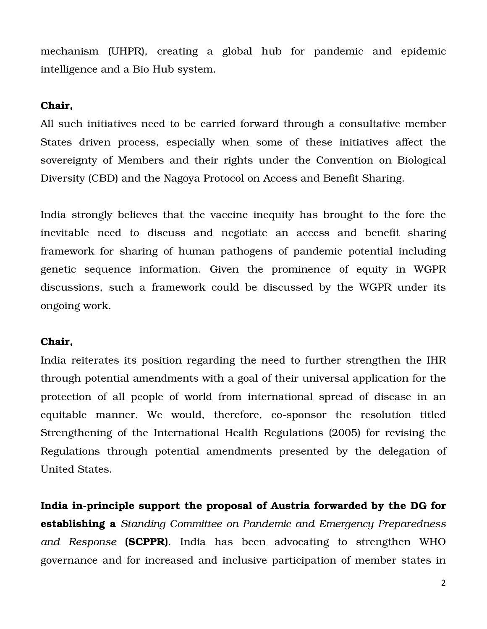mechanism (UHPR), creating a global hub for pandemic and epidemic intelligence and a Bio Hub system.

#### Chair,

All such initiatives need to be carried forward through a consultative member States driven process, especially when some of these initiatives affect the sovereignty of Members and their rights under the Convention on Biological Diversity (CBD) and the Nagoya Protocol on Access and Benefit Sharing.

India strongly believes that the vaccine inequity has brought to the fore the inevitable need to discuss and negotiate an access and benefit sharing framework for sharing of human pathogens of pandemic potential including genetic sequence information. Given the prominence of equity in WGPR discussions, such a framework could be discussed by the WGPR under its ongoing work.

#### Chair,

India reiterates its position regarding the need to further strengthen the IHR through potential amendments with a goal of their universal application for the protection of all people of world from international spread of disease in an equitable manner. We would, therefore, co-sponsor the resolution titled Strengthening of the International Health Regulations (2005) for revising the Regulations through potential amendments presented by the delegation of United States.

India in-principle support the proposal of Austria forwarded by the DG for establishing a *Standing Committee on Pandemic and Emergency Preparedness and Response* (SCPPR). India has been advocating to strengthen WHO governance and for increased and inclusive participation of member states in